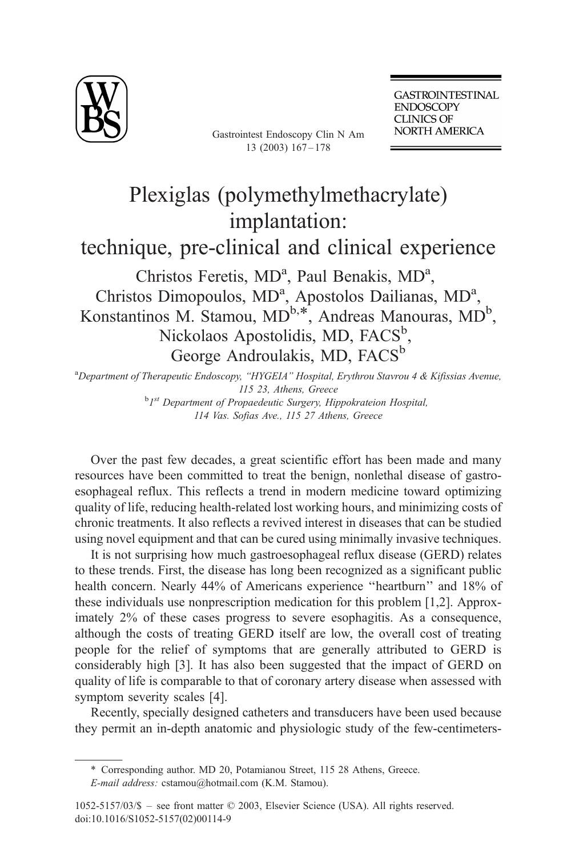

Gastrointest Endoscopy Clin N Am 13 (2003) 167 – 178

**GASTROINTESTINAL ENDOSCOPY CLINICS OF NORTH AMERICA** 

# Plexiglas (polymethylmethacrylate) implantation:

technique, pre-clinical and clinical experience

Christos Feretis, MD<sup>a</sup>, Paul Benakis, MD<sup>a</sup>, Christos Dimopoulos, MD<sup>a</sup>, Apostolos Dailianas, MD<sup>a</sup>, Konstantinos M. Stamou, MD<sup>b,\*</sup>, Andreas Manouras, MD<sup>b</sup>, Nickolaos Apostolidis, MD, FACS<sup>b</sup>, George Androulakis, MD, FACS<sup>b</sup>

<sup>a</sup>Department of Therapeutic Endoscopy, "HYGEIA" Hospital, Erythrou Stavrou 4 & Kifissias Avenue, 115 23, Athens, Greece<br><sup>b</sup>1<sup>st</sup> Department of Propaedeutic Surgery, Hippokrateion Hospital, 114 Vas. Sofias Ave., 115 27 Athens, Greece

Over the past few decades, a great scientific effort has been made and many resources have been committed to treat the benign, nonlethal disease of gastroesophageal reflux. This reflects a trend in modern medicine toward optimizing quality of life, reducing health-related lost working hours, and minimizing costs of chronic treatments. It also reflects a revived interest in diseases that can be studied using novel equipment and that can be cured using minimally invasive techniques.

It is not surprising how much gastroesophageal reflux disease (GERD) relates to these trends. First, the disease has long been recognized as a significant public health concern. Nearly 44% of Americans experience ''heartburn'' and 18% of these individuals use nonprescription medication for this problem [1,2]. Approximately 2% of these cases progress to severe esophagitis. As a consequence, although the costs of treating GERD itself are low, the overall cost of treating people for the relief of symptoms that are generally attributed to GERD is considerably high [3]. It has also been suggested that the impact of GERD on quality of life is comparable to that of coronary artery disease when assessed with symptom severity scales [4].

Recently, specially designed catheters and transducers have been used because they permit an in-depth anatomic and physiologic study of the few-centimeters-

<sup>\*</sup> Corresponding author. MD 20, Potamianou Street, 115 28 Athens, Greece.

E-mail address: cstamou@hotmail.com (K.M. Stamou).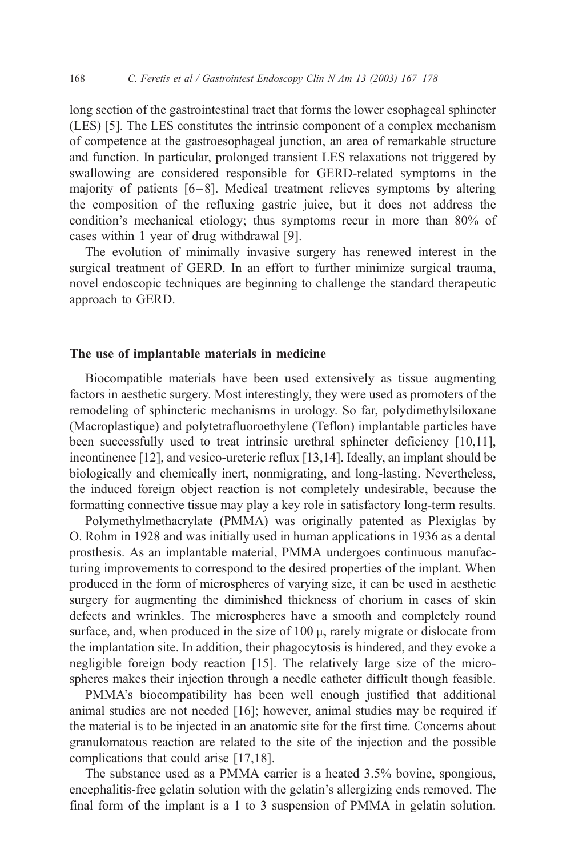long section of the gastrointestinal tract that forms the lower esophageal sphincter (LES) [5]. The LES constitutes the intrinsic component of a complex mechanism of competence at the gastroesophageal junction, an area of remarkable structure and function. In particular, prolonged transient LES relaxations not triggered by swallowing are considered responsible for GERD-related symptoms in the majority of patients  $[6-8]$ . Medical treatment relieves symptoms by altering the composition of the refluxing gastric juice, but it does not address the condition's mechanical etiology; thus symptoms recur in more than 80% of cases within 1 year of drug withdrawal [9].

The evolution of minimally invasive surgery has renewed interest in the surgical treatment of GERD. In an effort to further minimize surgical trauma, novel endoscopic techniques are beginning to challenge the standard therapeutic approach to GERD.

#### The use of implantable materials in medicine

Biocompatible materials have been used extensively as tissue augmenting factors in aesthetic surgery. Most interestingly, they were used as promoters of the remodeling of sphincteric mechanisms in urology. So far, polydimethylsiloxane (Macroplastique) and polytetrafluoroethylene (Teflon) implantable particles have been successfully used to treat intrinsic urethral sphincter deficiency [10,11], incontinence [12], and vesico-ureteric reflux [13,14]. Ideally, an implant should be biologically and chemically inert, nonmigrating, and long-lasting. Nevertheless, the induced foreign object reaction is not completely undesirable, because the formatting connective tissue may play a key role in satisfactory long-term results.

Polymethylmethacrylate (PMMA) was originally patented as Plexiglas by O. Rohm in 1928 and was initially used in human applications in 1936 as a dental prosthesis. As an implantable material, PMMA undergoes continuous manufacturing improvements to correspond to the desired properties of the implant. When produced in the form of microspheres of varying size, it can be used in aesthetic surgery for augmenting the diminished thickness of chorium in cases of skin defects and wrinkles. The microspheres have a smooth and completely round surface, and, when produced in the size of  $100 \mu$ , rarely migrate or dislocate from the implantation site. In addition, their phagocytosis is hindered, and they evoke a negligible foreign body reaction [15]. The relatively large size of the microspheres makes their injection through a needle catheter difficult though feasible.

PMMA's biocompatibility has been well enough justified that additional animal studies are not needed [16]; however, animal studies may be required if the material is to be injected in an anatomic site for the first time. Concerns about granulomatous reaction are related to the site of the injection and the possible complications that could arise [17,18].

The substance used as a PMMA carrier is a heated 3.5% bovine, spongious, encephalitis-free gelatin solution with the gelatin's allergizing ends removed. The final form of the implant is a 1 to 3 suspension of PMMA in gelatin solution.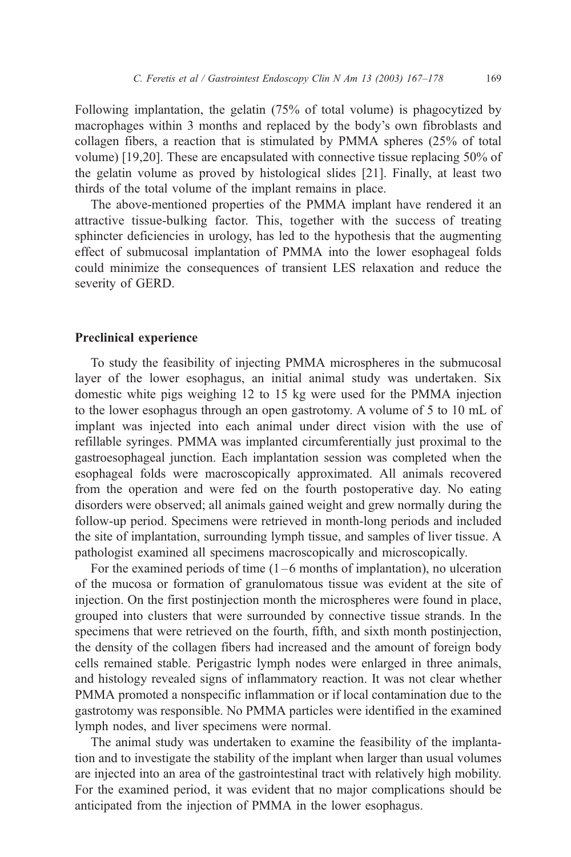Following implantation, the gelatin (75% of total volume) is phagocytized by macrophages within 3 months and replaced by the body's own fibroblasts and collagen fibers, a reaction that is stimulated by PMMA spheres (25% of total volume) [19,20]. These are encapsulated with connective tissue replacing 50% of the gelatin volume as proved by histological slides [21]. Finally, at least two thirds of the total volume of the implant remains in place.

The above-mentioned properties of the PMMA implant have rendered it an attractive tissue-bulking factor. This, together with the success of treating sphincter deficiencies in urology, has led to the hypothesis that the augmenting effect of submucosal implantation of PMMA into the lower esophageal folds could minimize the consequences of transient LES relaxation and reduce the severity of GERD.

#### Preclinical experience

To study the feasibility of injecting PMMA microspheres in the submucosal layer of the lower esophagus, an initial animal study was undertaken. Six domestic white pigs weighing 12 to 15 kg were used for the PMMA injection to the lower esophagus through an open gastrotomy. A volume of 5 to 10 mL of implant was injected into each animal under direct vision with the use of refillable syringes. PMMA was implanted circumferentially just proximal to the gastroesophageal junction. Each implantation session was completed when the esophageal folds were macroscopically approximated. All animals recovered from the operation and were fed on the fourth postoperative day. No eating disorders were observed; all animals gained weight and grew normally during the follow-up period. Specimens were retrieved in month-long periods and included the site of implantation, surrounding lymph tissue, and samples of liver tissue. A pathologist examined all specimens macroscopically and microscopically.

For the examined periods of time  $(1 - 6$  months of implantation), no ulceration of the mucosa or formation of granulomatous tissue was evident at the site of injection. On the first postinjection month the microspheres were found in place, grouped into clusters that were surrounded by connective tissue strands. In the specimens that were retrieved on the fourth, fifth, and sixth month postinjection, the density of the collagen fibers had increased and the amount of foreign body cells remained stable. Perigastric lymph nodes were enlarged in three animals, and histology revealed signs of inflammatory reaction. It was not clear whether PMMA promoted a nonspecific inflammation or if local contamination due to the gastrotomy was responsible. No PMMA particles were identified in the examined lymph nodes, and liver specimens were normal.

The animal study was undertaken to examine the feasibility of the implantation and to investigate the stability of the implant when larger than usual volumes are injected into an area of the gastrointestinal tract with relatively high mobility. For the examined period, it was evident that no major complications should be anticipated from the injection of PMMA in the lower esophagus.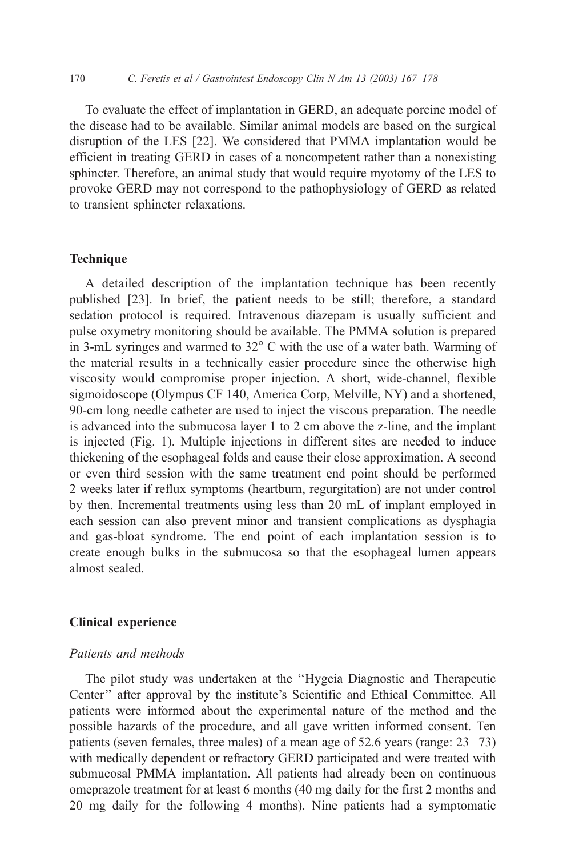To evaluate the effect of implantation in GERD, an adequate porcine model of the disease had to be available. Similar animal models are based on the surgical disruption of the LES [22]. We considered that PMMA implantation would be efficient in treating GERD in cases of a noncompetent rather than a nonexisting sphincter. Therefore, an animal study that would require myotomy of the LES to provoke GERD may not correspond to the pathophysiology of GERD as related to transient sphincter relaxations.

## Technique

A detailed description of the implantation technique has been recently published [23]. In brief, the patient needs to be still; therefore, a standard sedation protocol is required. Intravenous diazepam is usually sufficient and pulse oxymetry monitoring should be available. The PMMA solution is prepared in 3-mL syringes and warmed to  $32^{\circ}$  C with the use of a water bath. Warming of the material results in a technically easier procedure since the otherwise high viscosity would compromise proper injection. A short, wide-channel, flexible sigmoidoscope (Olympus CF 140, America Corp, Melville, NY) and a shortened, 90-cm long needle catheter are used to inject the viscous preparation. The needle is advanced into the submucosa layer 1 to 2 cm above the z-line, and the implant is injected (Fig. 1). Multiple injections in different sites are needed to induce thickening of the esophageal folds and cause their close approximation. A second or even third session with the same treatment end point should be performed 2 weeks later if reflux symptoms (heartburn, regurgitation) are not under control by then. Incremental treatments using less than 20 mL of implant employed in each session can also prevent minor and transient complications as dysphagia and gas-bloat syndrome. The end point of each implantation session is to create enough bulks in the submucosa so that the esophageal lumen appears almost sealed.

## Clinical experience

#### Patients and methods

The pilot study was undertaken at the ''Hygeia Diagnostic and Therapeutic Center'' after approval by the institute's Scientific and Ethical Committee. All patients were informed about the experimental nature of the method and the possible hazards of the procedure, and all gave written informed consent. Ten patients (seven females, three males) of a mean age of  $52.6$  years (range:  $23-73$ ) with medically dependent or refractory GERD participated and were treated with submucosal PMMA implantation. All patients had already been on continuous omeprazole treatment for at least 6 months (40 mg daily for the first 2 months and 20 mg daily for the following 4 months). Nine patients had a symptomatic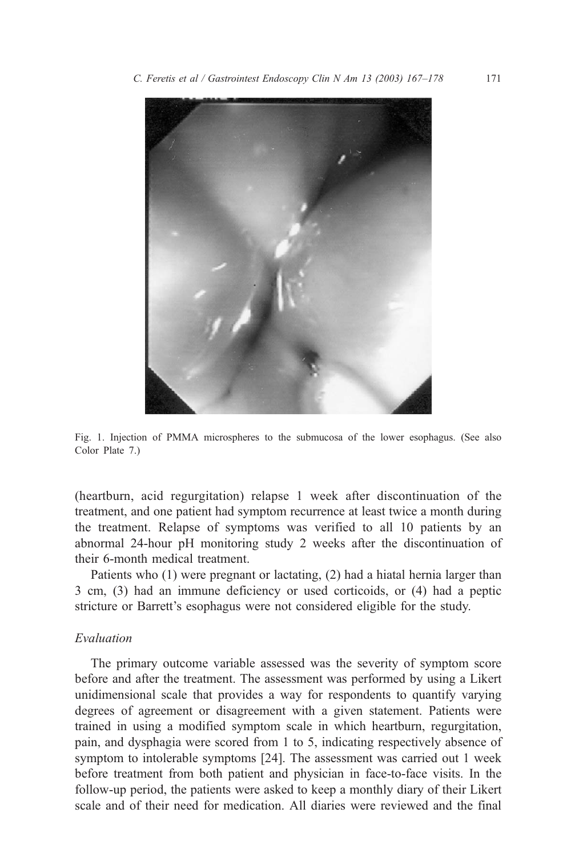

Fig. 1. Injection of PMMA microspheres to the submucosa of the lower esophagus. (See also Color Plate 7.)

(heartburn, acid regurgitation) relapse 1 week after discontinuation of the treatment, and one patient had symptom recurrence at least twice a month during the treatment. Relapse of symptoms was verified to all 10 patients by an abnormal 24-hour pH monitoring study 2 weeks after the discontinuation of their 6-month medical treatment.

Patients who (1) were pregnant or lactating, (2) had a hiatal hernia larger than 3 cm, (3) had an immune deficiency or used corticoids, or (4) had a peptic stricture or Barrett's esophagus were not considered eligible for the study.

## Evaluation

The primary outcome variable assessed was the severity of symptom score before and after the treatment. The assessment was performed by using a Likert unidimensional scale that provides a way for respondents to quantify varying degrees of agreement or disagreement with a given statement. Patients were trained in using a modified symptom scale in which heartburn, regurgitation, pain, and dysphagia were scored from 1 to 5, indicating respectively absence of symptom to intolerable symptoms [24]. The assessment was carried out 1 week before treatment from both patient and physician in face-to-face visits. In the follow-up period, the patients were asked to keep a monthly diary of their Likert scale and of their need for medication. All diaries were reviewed and the final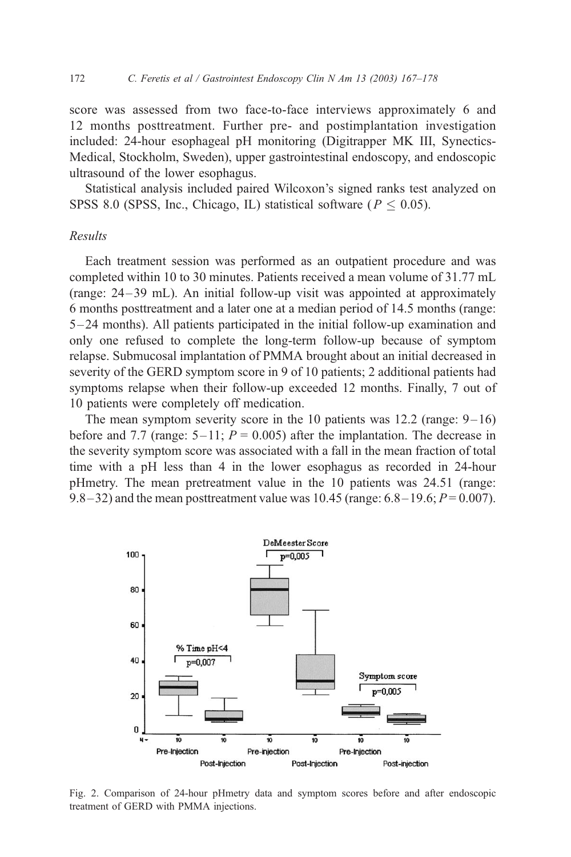score was assessed from two face-to-face interviews approximately 6 and 12 months posttreatment. Further pre- and postimplantation investigation included: 24-hour esophageal pH monitoring (Digitrapper MK III, Synectics-Medical, Stockholm, Sweden), upper gastrointestinal endoscopy, and endoscopic ultrasound of the lower esophagus.

Statistical analysis included paired Wilcoxon's signed ranks test analyzed on SPSS 8.0 (SPSS, Inc., Chicago, IL) statistical software ( $P \le 0.05$ ).

# Results

Each treatment session was performed as an outpatient procedure and was completed within 10 to 30 minutes. Patients received a mean volume of 31.77 mL (range: 24– 39 mL). An initial follow-up visit was appointed at approximately 6 months posttreatment and a later one at a median period of 14.5 months (range: 5 – 24 months). All patients participated in the initial follow-up examination and only one refused to complete the long-term follow-up because of symptom relapse. Submucosal implantation of PMMA brought about an initial decreased in severity of the GERD symptom score in 9 of 10 patients; 2 additional patients had symptoms relapse when their follow-up exceeded 12 months. Finally, 7 out of 10 patients were completely off medication.

The mean symptom severity score in the 10 patients was  $12.2$  (range:  $9-16$ ) before and 7.7 (range:  $5-11$ ;  $P = 0.005$ ) after the implantation. The decrease in the severity symptom score was associated with a fall in the mean fraction of total time with a pH less than 4 in the lower esophagus as recorded in 24-hour pHmetry. The mean pretreatment value in the 10 patients was 24.51 (range: 9.8 – 32) and the mean posttreatment value was 10.45 (range:  $6.8 - 19.6$ ;  $P = 0.007$ ).



Fig. 2. Comparison of 24-hour pHmetry data and symptom scores before and after endoscopic treatment of GERD with PMMA injections.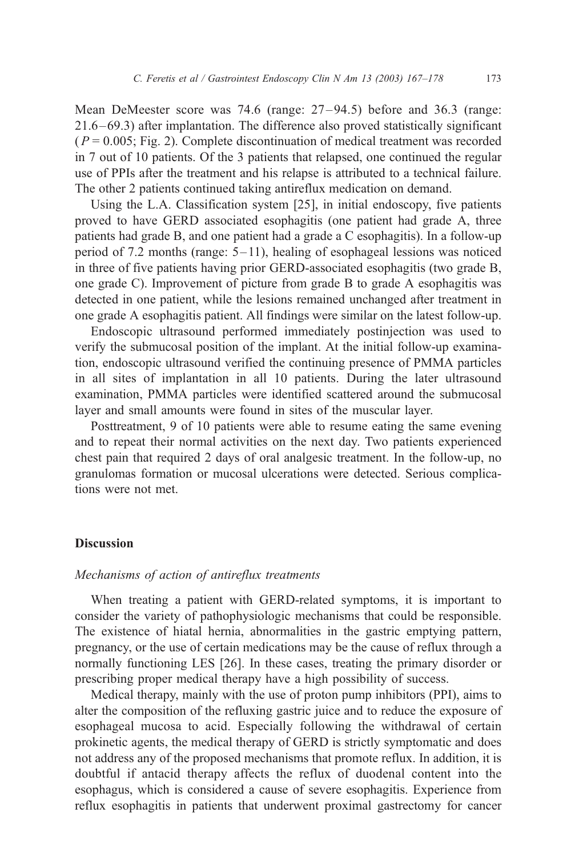Mean DeMeester score was 74.6 (range: 27–94.5) before and 36.3 (range: 21.6 –69.3) after implantation. The difference also proved statistically significant  $(P = 0.005; Fig. 2)$ . Complete discontinuation of medical treatment was recorded in 7 out of 10 patients. Of the 3 patients that relapsed, one continued the regular use of PPIs after the treatment and his relapse is attributed to a technical failure. The other 2 patients continued taking antireflux medication on demand.

Using the L.A. Classification system [25], in initial endoscopy, five patients proved to have GERD associated esophagitis (one patient had grade A, three patients had grade B, and one patient had a grade a C esophagitis). In a follow-up period of 7.2 months (range:  $5-11$ ), healing of esophageal lessions was noticed in three of five patients having prior GERD-associated esophagitis (two grade B, one grade C). Improvement of picture from grade B to grade A esophagitis was detected in one patient, while the lesions remained unchanged after treatment in one grade A esophagitis patient. All findings were similar on the latest follow-up.

Endoscopic ultrasound performed immediately postinjection was used to verify the submucosal position of the implant. At the initial follow-up examination, endoscopic ultrasound verified the continuing presence of PMMA particles in all sites of implantation in all 10 patients. During the later ultrasound examination, PMMA particles were identified scattered around the submucosal layer and small amounts were found in sites of the muscular layer.

Posttreatment, 9 of 10 patients were able to resume eating the same evening and to repeat their normal activities on the next day. Two patients experienced chest pain that required 2 days of oral analgesic treatment. In the follow-up, no granulomas formation or mucosal ulcerations were detected. Serious complications were not met.

#### **Discussion**

## Mechanisms of action of antireflux treatments

When treating a patient with GERD-related symptoms, it is important to consider the variety of pathophysiologic mechanisms that could be responsible. The existence of hiatal hernia, abnormalities in the gastric emptying pattern, pregnancy, or the use of certain medications may be the cause of reflux through a normally functioning LES [26]. In these cases, treating the primary disorder or prescribing proper medical therapy have a high possibility of success.

Medical therapy, mainly with the use of proton pump inhibitors (PPI), aims to alter the composition of the refluxing gastric juice and to reduce the exposure of esophageal mucosa to acid. Especially following the withdrawal of certain prokinetic agents, the medical therapy of GERD is strictly symptomatic and does not address any of the proposed mechanisms that promote reflux. In addition, it is doubtful if antacid therapy affects the reflux of duodenal content into the esophagus, which is considered a cause of severe esophagitis. Experience from reflux esophagitis in patients that underwent proximal gastrectomy for cancer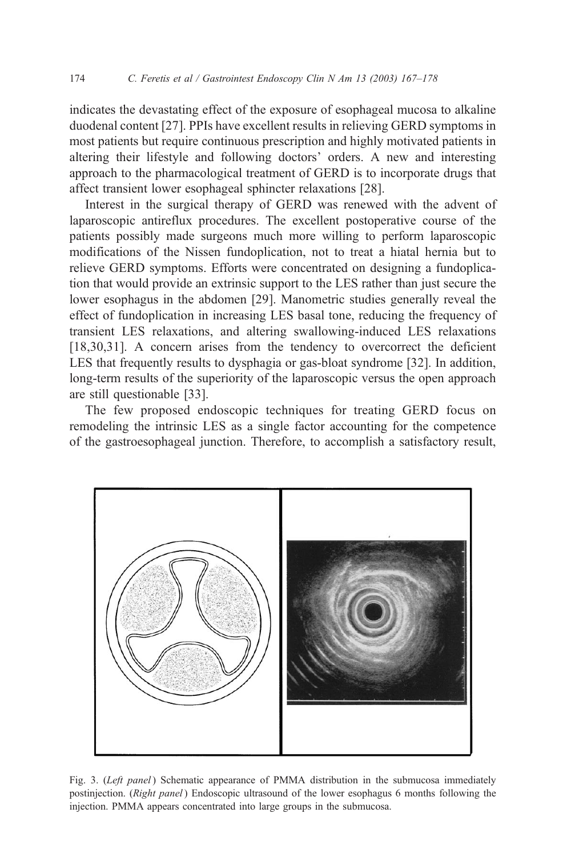indicates the devastating effect of the exposure of esophageal mucosa to alkaline duodenal content [27]. PPIs have excellent results in relieving GERD symptoms in most patients but require continuous prescription and highly motivated patients in altering their lifestyle and following doctors' orders. A new and interesting approach to the pharmacological treatment of GERD is to incorporate drugs that affect transient lower esophageal sphincter relaxations [28].

Interest in the surgical therapy of GERD was renewed with the advent of laparoscopic antireflux procedures. The excellent postoperative course of the patients possibly made surgeons much more willing to perform laparoscopic modifications of the Nissen fundoplication, not to treat a hiatal hernia but to relieve GERD symptoms. Efforts were concentrated on designing a fundoplication that would provide an extrinsic support to the LES rather than just secure the lower esophagus in the abdomen [29]. Manometric studies generally reveal the effect of fundoplication in increasing LES basal tone, reducing the frequency of transient LES relaxations, and altering swallowing-induced LES relaxations [18,30,31]. A concern arises from the tendency to overcorrect the deficient LES that frequently results to dysphagia or gas-bloat syndrome [32]. In addition, long-term results of the superiority of the laparoscopic versus the open approach are still questionable [33].

The few proposed endoscopic techniques for treating GERD focus on remodeling the intrinsic LES as a single factor accounting for the competence of the gastroesophageal junction. Therefore, to accomplish a satisfactory result,



Fig. 3. (Left panel) Schematic appearance of PMMA distribution in the submucosa immediately postinjection. (Right panel) Endoscopic ultrasound of the lower esophagus 6 months following the injection. PMMA appears concentrated into large groups in the submucosa.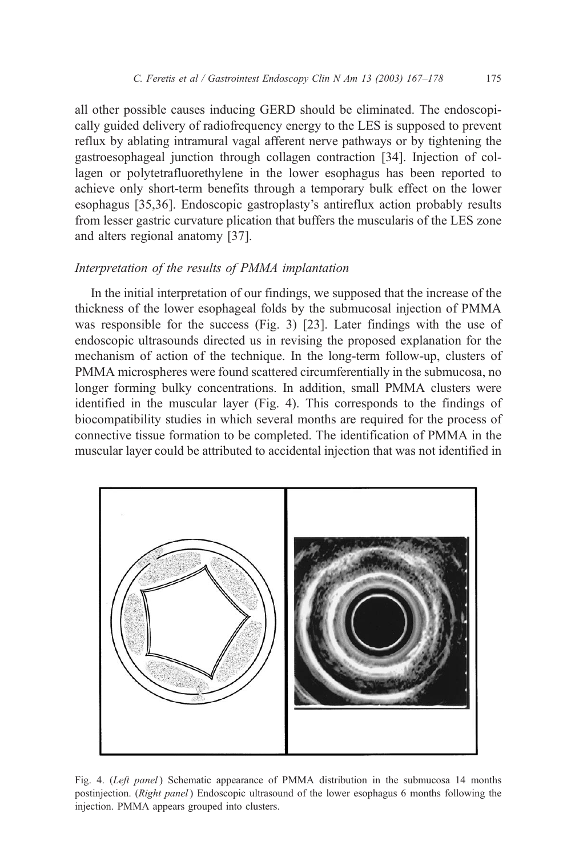all other possible causes inducing GERD should be eliminated. The endoscopically guided delivery of radiofrequency energy to the LES is supposed to prevent reflux by ablating intramural vagal afferent nerve pathways or by tightening the gastroesophageal junction through collagen contraction [34]. Injection of collagen or polytetrafluorethylene in the lower esophagus has been reported to achieve only short-term benefits through a temporary bulk effect on the lower esophagus [35,36]. Endoscopic gastroplasty's antireflux action probably results from lesser gastric curvature plication that buffers the muscularis of the LES zone and alters regional anatomy [37].

# Interpretation of the results of PMMA implantation

In the initial interpretation of our findings, we supposed that the increase of the thickness of the lower esophageal folds by the submucosal injection of PMMA was responsible for the success (Fig. 3) [23]. Later findings with the use of endoscopic ultrasounds directed us in revising the proposed explanation for the mechanism of action of the technique. In the long-term follow-up, clusters of PMMA microspheres were found scattered circumferentially in the submucosa, no longer forming bulky concentrations. In addition, small PMMA clusters were identified in the muscular layer (Fig. 4). This corresponds to the findings of biocompatibility studies in which several months are required for the process of connective tissue formation to be completed. The identification of PMMA in the muscular layer could be attributed to accidental injection that was not identified in



Fig. 4. (Left panel) Schematic appearance of PMMA distribution in the submucosa 14 months postinjection. (Right panel) Endoscopic ultrasound of the lower esophagus 6 months following the injection. PMMA appears grouped into clusters.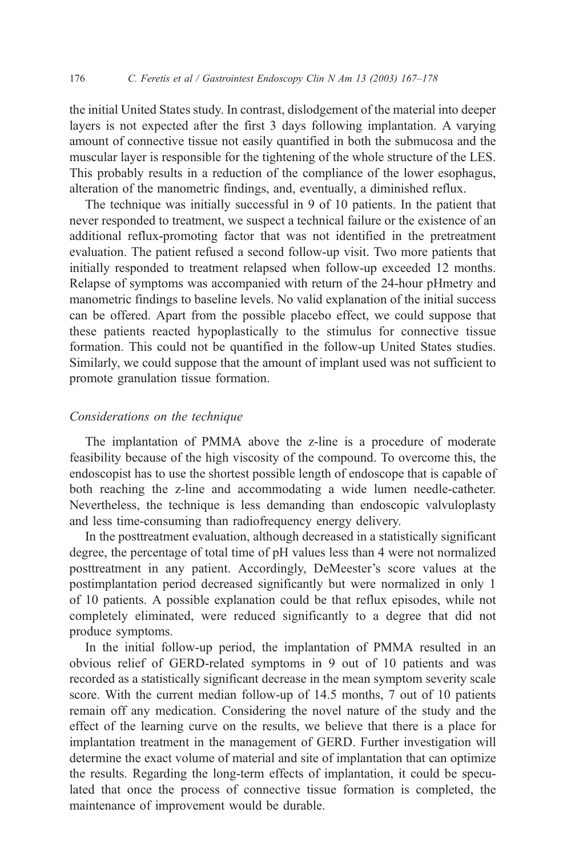the initial United States study. In contrast, dislodgement of the material into deeper layers is not expected after the first 3 days following implantation. A varying amount of connective tissue not easily quantified in both the submucosa and the muscular layer is responsible for the tightening of the whole structure of the LES. This probably results in a reduction of the compliance of the lower esophagus, alteration of the manometric findings, and, eventually, a diminished reflux.

The technique was initially successful in 9 of 10 patients. In the patient that never responded to treatment, we suspect a technical failure or the existence of an additional reflux-promoting factor that was not identified in the pretreatment evaluation. The patient refused a second follow-up visit. Two more patients that initially responded to treatment relapsed when follow-up exceeded 12 months. Relapse of symptoms was accompanied with return of the 24-hour pHmetry and manometric findings to baseline levels. No valid explanation of the initial success can be offered. Apart from the possible placebo effect, we could suppose that these patients reacted hypoplastically to the stimulus for connective tissue formation. This could not be quantified in the follow-up United States studies. Similarly, we could suppose that the amount of implant used was not sufficient to promote granulation tissue formation.

#### Considerations on the technique

The implantation of PMMA above the z-line is a procedure of moderate feasibility because of the high viscosity of the compound. To overcome this, the endoscopist has to use the shortest possible length of endoscope that is capable of both reaching the z-line and accommodating a wide lumen needle-catheter. Nevertheless, the technique is less demanding than endoscopic valvuloplasty and less time-consuming than radiofrequency energy delivery.

In the posttreatment evaluation, although decreased in a statistically significant degree, the percentage of total time of pH values less than 4 were not normalized posttreatment in any patient. Accordingly, DeMeester's score values at the postimplantation period decreased significantly but were normalized in only 1 of 10 patients. A possible explanation could be that reflux episodes, while not completely eliminated, were reduced significantly to a degree that did not produce symptoms.

In the initial follow-up period, the implantation of PMMA resulted in an obvious relief of GERD-related symptoms in 9 out of 10 patients and was recorded as a statistically significant decrease in the mean symptom severity scale score. With the current median follow-up of 14.5 months, 7 out of 10 patients remain off any medication. Considering the novel nature of the study and the effect of the learning curve on the results, we believe that there is a place for implantation treatment in the management of GERD. Further investigation will determine the exact volume of material and site of implantation that can optimize the results. Regarding the long-term effects of implantation, it could be speculated that once the process of connective tissue formation is completed, the maintenance of improvement would be durable.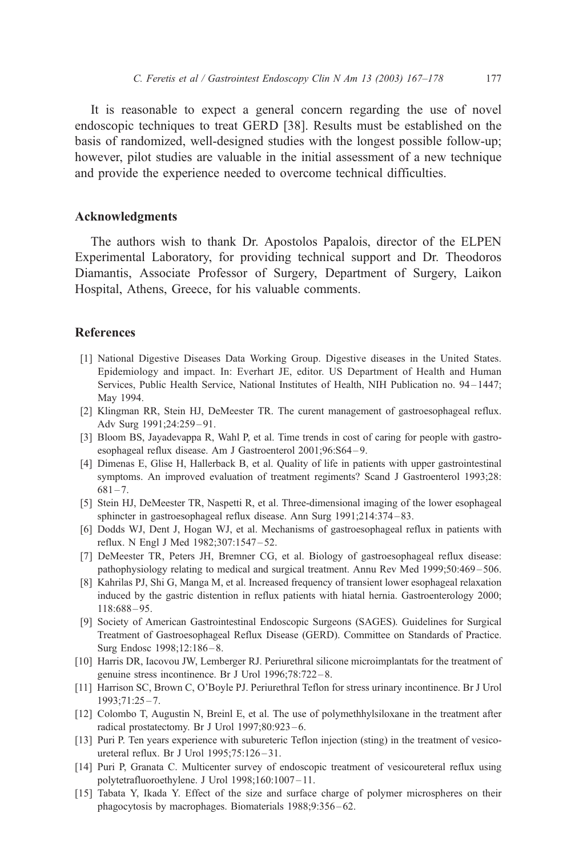It is reasonable to expect a general concern regarding the use of novel endoscopic techniques to treat GERD [38]. Results must be established on the basis of randomized, well-designed studies with the longest possible follow-up; however, pilot studies are valuable in the initial assessment of a new technique and provide the experience needed to overcome technical difficulties.

#### Acknowledgments

The authors wish to thank Dr. Apostolos Papalois, director of the ELPEN Experimental Laboratory, for providing technical support and Dr. Theodoros Diamantis, Associate Professor of Surgery, Department of Surgery, Laikon Hospital, Athens, Greece, for his valuable comments.

# References

- [1] National Digestive Diseases Data Working Group. Digestive diseases in the United States. Epidemiology and impact. In: Everhart JE, editor. US Department of Health and Human Services, Public Health Service, National Institutes of Health, NIH Publication no. 94-1447; May 1994.
- [2] Klingman RR, Stein HJ, DeMeester TR. The curent management of gastroesophageal reflux. Adv Surg 1991;24:259-91.
- [3] Bloom BS, Jayadevappa R, Wahl P, et al. Time trends in cost of caring for people with gastroesophageal reflux disease. Am J Gastroenterol 2001;96:S64 – 9.
- [4] Dimenas E, Glise H, Hallerback B, et al. Quality of life in patients with upper gastrointestinal symptoms. An improved evaluation of treatment regiments? Scand J Gastroenterol 1993;28:  $681 - 7.$
- [5] Stein HJ, DeMeester TR, Naspetti R, et al. Three-dimensional imaging of the lower esophageal sphincter in gastroesophageal reflux disease. Ann Surg 1991;214:374 – 83.
- [6] Dodds WJ, Dent J, Hogan WJ, et al. Mechanisms of gastroesophageal reflux in patients with reflux. N Engl J Med 1982;307:1547 – 52.
- [7] DeMeester TR, Peters JH, Bremner CG, et al. Biology of gastroesophageal reflux disease: pathophysiology relating to medical and surgical treatment. Annu Rev Med 1999;50:469 – 506.
- [8] Kahrilas PJ, Shi G, Manga M, et al. Increased frequency of transient lower esophageal relaxation induced by the gastric distention in reflux patients with hiatal hernia. Gastroenterology 2000; 118:688 – 95.
- [9] Society of American Gastrointestinal Endoscopic Surgeons (SAGES). Guidelines for Surgical Treatment of Gastroesophageal Reflux Disease (GERD). Committee on Standards of Practice. Surg Endosc 1998;12:186-8.
- [10] Harris DR, Iacovou JW, Lemberger RJ. Periurethral silicone microimplantats for the treatment of genuine stress incontinence. Br J Urol 1996;78:722 – 8.
- [11] Harrison SC, Brown C, O'Boyle PJ. Periurethral Teflon for stress urinary incontinence. Br J Urol 1993;71:25 – 7.
- [12] Colombo T, Augustin N, Breinl E, et al. The use of polymethhylsiloxane in the treatment after radical prostatectomy. Br J Urol 1997;80:923-6.
- [13] Puri P. Ten years experience with subureteric Teflon injection (sting) in the treatment of vesicoureteral reflux. Br J Urol 1995;75:126 – 31.
- [14] Puri P, Granata C. Multicenter survey of endoscopic treatment of vesicoureteral reflux using polytetrafluoroethylene. J Urol 1998;160:1007 – 11.
- [15] Tabata Y, Ikada Y. Effect of the size and surface charge of polymer microspheres on their phagocytosis by macrophages. Biomaterials 1988;9:356 – 62.